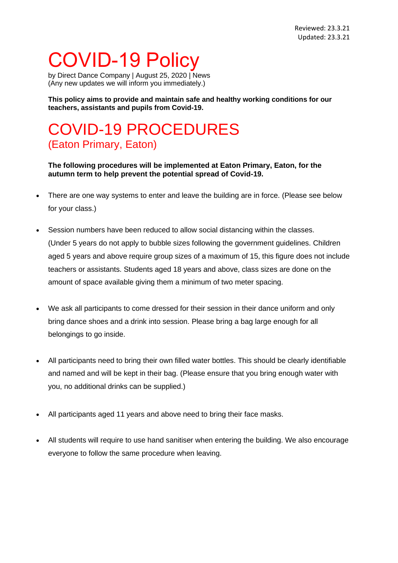## COVID-19 Policy

by Direct Dance Company | August 25, 2020 | [News](https://avivdance.com/category/news/) (Any new updates we will inform you immediately.)

**This policy aims to provide and maintain safe and healthy working conditions for our teachers, assistants and pupils from Covid-19.**

## COVID-19 PROCEDURES (Eaton Primary, Eaton)

**The following procedures will be implemented at Eaton Primary, Eaton, for the autumn term to help prevent the potential spread of Covid-19.**

- There are one way systems to enter and leave the building are in force. (Please see below for your class.)
- Session numbers have been reduced to allow social distancing within the classes. (Under 5 years do not apply to bubble sizes following the government guidelines. Children aged 5 years and above require group sizes of a maximum of 15, this figure does not include teachers or assistants. Students aged 18 years and above, class sizes are done on the amount of space available giving them a minimum of two meter spacing.
- We ask all participants to come dressed for their session in their dance uniform and only bring dance shoes and a drink into session. Please bring a bag large enough for all belongings to go inside.
- All participants need to bring their own filled water bottles. This should be clearly identifiable and named and will be kept in their bag. (Please ensure that you bring enough water with you, no additional drinks can be supplied.)
- All participants aged 11 years and above need to bring their face masks.
- All students will require to use hand sanitiser when entering the building. We also encourage everyone to follow the same procedure when leaving.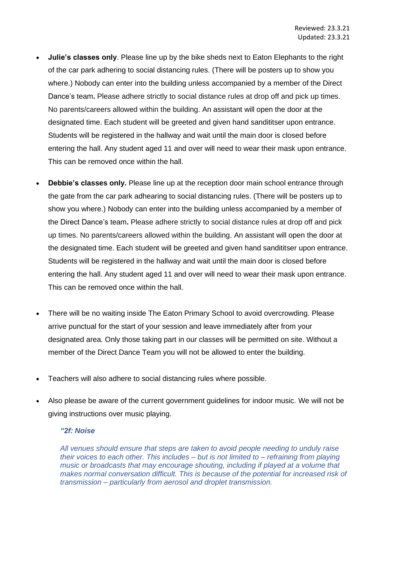- **Julie's classes only**. Please line up by the bike sheds next to Eaton Elephants to the right of the car park adhering to social distancing rules. (There will be posters up to show you where.) Nobody can enter into the building unless accompanied by a member of the Direct Dance's team**.** Please adhere strictly to social distance rules at drop off and pick up times. No parents/careers allowed within the building. An assistant will open the door at the designated time. Each student will be greeted and given hand sandititser upon entrance. Students will be registered in the hallway and wait until the main door is closed before entering the hall. Any student aged 11 and over will need to wear their mask upon entrance. This can be removed once within the hall.
- **Debbie's classes only.** Please line up at the reception door main school entrance through the gate from the car park adhearing to social distancing rules. (There will be posters up to show you where.) Nobody can enter into the building unless accompanied by a member of the Direct Dance's team**.** Please adhere strictly to social distance rules at drop off and pick up times. No parents/careers allowed within the building. An assistant will open the door at the designated time. Each student will be greeted and given hand sandititser upon entrance. Students will be registered in the hallway and wait until the main door is closed before entering the hall. Any student aged 11 and over will need to wear their mask upon entrance. This can be removed once within the hall.
- There will be no waiting inside The Eaton Primary School to avoid overcrowding. Please arrive punctual for the start of your session and leave immediately after from your designated area. Only those taking part in our classes will be permitted on site. Without a member of the Direct Dance Team you will not be allowed to enter the building.
- Teachers will also adhere to social distancing rules where possible.
- Also please be aware of the current government guidelines for indoor music. We will not be giving instructions over music playing.

## *"2f: Noise*

*All venues should ensure that steps are taken to avoid people needing to unduly raise their voices to each other. This includes – but is not limited to – refraining from playing music or broadcasts that may encourage shouting, including if played at a volume that makes normal conversation difficult. This is because of the potential for increased risk of transmission – particularly from aerosol and droplet transmission.*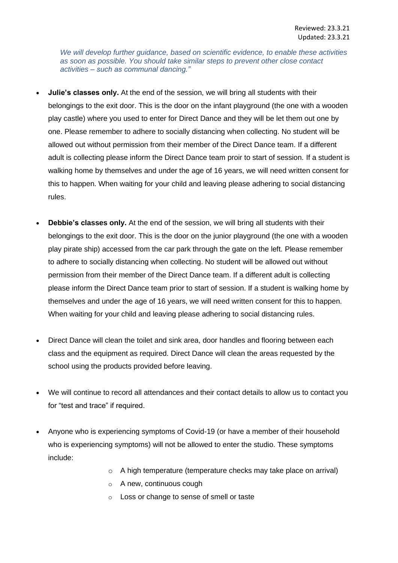*We will develop further guidance, based on scientific evidence, to enable these activities as soon as possible. You should take similar steps to prevent other close contact activities – such as communal dancing."*

- **Julie's classes only.** At the end of the session, we will bring all students with their belongings to the exit door. This is the door on the infant playground (the one with a wooden play castle) where you used to enter for Direct Dance and they will be let them out one by one. Please remember to adhere to socially distancing when collecting. No student will be allowed out without permission from their member of the Direct Dance team. If a different adult is collecting please inform the Direct Dance team proir to start of session. If a student is walking home by themselves and under the age of 16 years, we will need written consent for this to happen. When waiting for your child and leaving please adhering to social distancing rules.
- **Debbie's classes only.** At the end of the session, we will bring all students with their belongings to the exit door. This is the door on the junior playground (the one with a wooden play pirate ship) accessed from the car park through the gate on the left. Please remember to adhere to socially distancing when collecting. No student will be allowed out without permission from their member of the Direct Dance team. If a different adult is collecting please inform the Direct Dance team prior to start of session. If a student is walking home by themselves and under the age of 16 years, we will need written consent for this to happen. When waiting for your child and leaving please adhering to social distancing rules.
- Direct Dance will clean the toilet and sink area, door handles and flooring between each class and the equipment as required. Direct Dance will clean the areas requested by the school using the products provided before leaving.
- We will continue to record all attendances and their contact details to allow us to contact you for "test and trace" if required.
- Anyone who is experiencing symptoms of Covid-19 (or have a member of their household who is experiencing symptoms) will not be allowed to enter the studio. These symptoms include:
	- o A high temperature (temperature checks may take place on arrival)
	- o A new, continuous cough
	- o Loss or change to sense of smell or taste